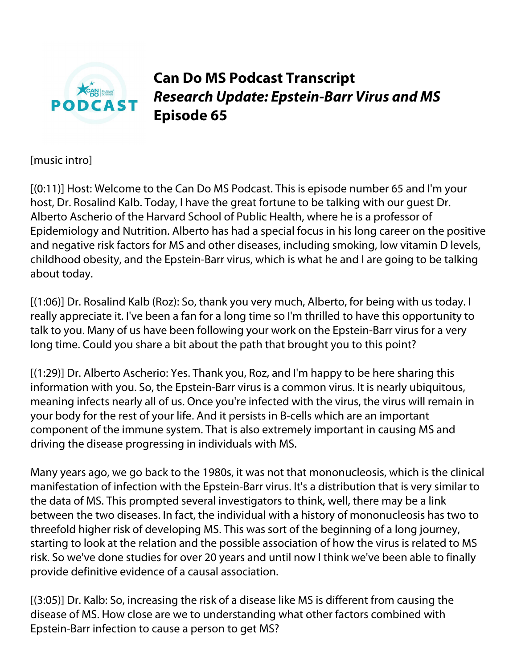

**Can Do MS Podcast Transcript** *Research Update: Epstein-Barr Virus and MS* **Episode 65**

[music intro]

[(0:11)] Host: Welcome to the Can Do MS Podcast. This is episode number 65 and I'm your host, Dr. Rosalind Kalb. Today, I have the great fortune to be talking with our guest Dr. Alberto Ascherio of the Harvard School of Public Health, where he is a professor of Epidemiology and Nutrition. Alberto has had a special focus in his long career on the positive and negative risk factors for MS and other diseases, including smoking, low vitamin D levels, childhood obesity, and the Epstein-Barr virus, which is what he and I are going to be talking about today.

[(1:06)] Dr. Rosalind Kalb (Roz): So, thank you very much, Alberto, for being with us today. I really appreciate it. I've been a fan for a long time so I'm thrilled to have this opportunity to talk to you. Many of us have been following your work on the Epstein-Barr virus for a very long time. Could you share a bit about the path that brought you to this point?

[(1:29)] Dr. Alberto Ascherio: Yes. Thank you, Roz, and I'm happy to be here sharing this information with you. So, the Epstein-Barr virus is a common virus. It is nearly ubiquitous, meaning infects nearly all of us. Once you're infected with the virus, the virus will remain in your body for the rest of your life. And it persists in B-cells which are an important component of the immune system. That is also extremely important in causing MS and driving the disease progressing in individuals with MS.

Many years ago, we go back to the 1980s, it was not that mononucleosis, which is the clinical manifestation of infection with the Epstein-Barr virus. It's a distribution that is very similar to the data of MS. This prompted several investigators to think, well, there may be a link between the two diseases. In fact, the individual with a history of mononucleosis has two to threefold higher risk of developing MS. This was sort of the beginning of a long journey, starting to look at the relation and the possible association of how the virus is related to MS risk. So we've done studies for over 20 years and until now I think we've been able to finally provide definitive evidence of a causal association.

[(3:05)] Dr. Kalb: So, increasing the risk of a disease like MS is different from causing the disease of MS. How close are we to understanding what other factors combined with Epstein-Barr infection to cause a person to get MS?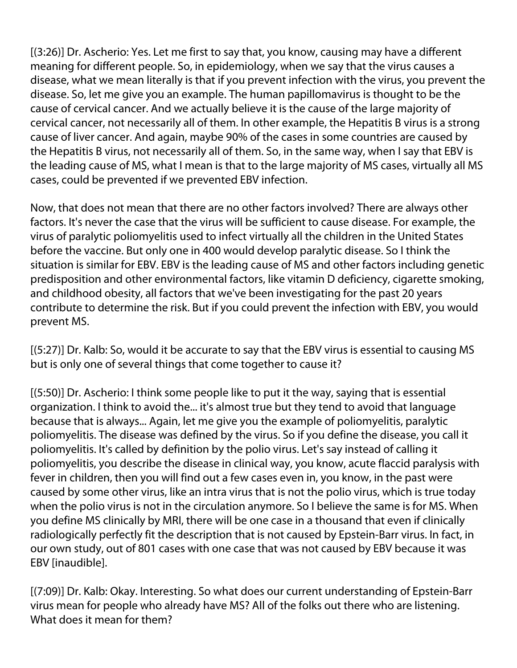[(3:26)] Dr. Ascherio: Yes. Let me first to say that, you know, causing may have a different meaning for different people. So, in epidemiology, when we say that the virus causes a disease, what we mean literally is that if you prevent infection with the virus, you prevent the disease. So, let me give you an example. The human papillomavirus is thought to be the cause of cervical cancer. And we actually believe it is the cause of the large majority of cervical cancer, not necessarily all of them. In other example, the Hepatitis B virus is a strong cause of liver cancer. And again, maybe 90% of the cases in some countries are caused by the Hepatitis B virus, not necessarily all of them. So, in the same way, when I say that EBV is the leading cause of MS, what I mean is that to the large majority of MS cases, virtually all MS cases, could be prevented if we prevented EBV infection.

Now, that does not mean that there are no other factors involved? There are always other factors. It's never the case that the virus will be sufficient to cause disease. For example, the virus of paralytic poliomyelitis used to infect virtually all the children in the United States before the vaccine. But only one in 400 would develop paralytic disease. So I think the situation is similar for EBV. EBV is the leading cause of MS and other factors including genetic predisposition and other environmental factors, like vitamin D deficiency, cigarette smoking, and childhood obesity, all factors that we've been investigating for the past 20 years contribute to determine the risk. But if you could prevent the infection with EBV, you would prevent MS.

[(5:27)] Dr. Kalb: So, would it be accurate to say that the EBV virus is essential to causing MS but is only one of several things that come together to cause it?

[(5:50)] Dr. Ascherio: I think some people like to put it the way, saying that is essential organization. I think to avoid the... it's almost true but they tend to avoid that language because that is always... Again, let me give you the example of poliomyelitis, paralytic poliomyelitis. The disease was defined by the virus. So if you define the disease, you call it poliomyelitis. It's called by definition by the polio virus. Let's say instead of calling it poliomyelitis, you describe the disease in clinical way, you know, acute flaccid paralysis with fever in children, then you will find out a few cases even in, you know, in the past were caused by some other virus, like an intra virus that is not the polio virus, which is true today when the polio virus is not in the circulation anymore. So I believe the same is for MS. When you define MS clinically by MRI, there will be one case in a thousand that even if clinically radiologically perfectly fit the description that is not caused by Epstein-Barr virus. In fact, in our own study, out of 801 cases with one case that was not caused by EBV because it was EBV [inaudible].

[(7:09)] Dr. Kalb: Okay. Interesting. So what does our current understanding of Epstein-Barr virus mean for people who already have MS? All of the folks out there who are listening. What does it mean for them?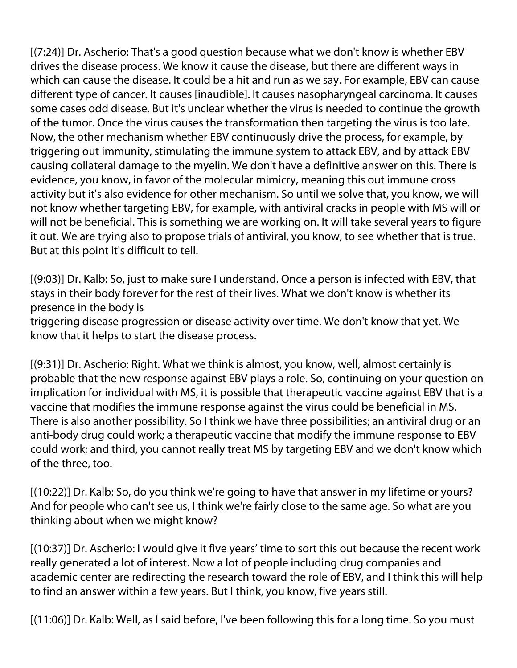[(7:24)] Dr. Ascherio: That's a good question because what we don't know is whether EBV drives the disease process. We know it cause the disease, but there are different ways in which can cause the disease. It could be a hit and run as we say. For example, EBV can cause different type of cancer. It causes [inaudible]. It causes nasopharyngeal carcinoma. It causes some cases odd disease. But it's unclear whether the virus is needed to continue the growth of the tumor. Once the virus causes the transformation then targeting the virus is too late. Now, the other mechanism whether EBV continuously drive the process, for example, by triggering out immunity, stimulating the immune system to attack EBV, and by attack EBV causing collateral damage to the myelin. We don't have a definitive answer on this. There is evidence, you know, in favor of the molecular mimicry, meaning this out immune cross activity but it's also evidence for other mechanism. So until we solve that, you know, we will not know whether targeting EBV, for example, with antiviral cracks in people with MS will or will not be beneficial. This is something we are working on. It will take several years to figure it out. We are trying also to propose trials of antiviral, you know, to see whether that is true. But at this point it's difficult to tell.

[(9:03)] Dr. Kalb: So, just to make sure I understand. Once a person is infected with EBV, that stays in their body forever for the rest of their lives. What we don't know is whether its presence in the body is

triggering disease progression or disease activity over time. We don't know that yet. We know that it helps to start the disease process.

[(9:31)] Dr. Ascherio: Right. What we think is almost, you know, well, almost certainly is probable that the new response against EBV plays a role. So, continuing on your question on implication for individual with MS, it is possible that therapeutic vaccine against EBV that is a vaccine that modifies the immune response against the virus could be beneficial in MS. There is also another possibility. So I think we have three possibilities; an antiviral drug or an anti-body drug could work; a therapeutic vaccine that modify the immune response to EBV could work; and third, you cannot really treat MS by targeting EBV and we don't know which of the three, too.

[(10:22)] Dr. Kalb: So, do you think we're going to have that answer in my lifetime or yours? And for people who can't see us, I think we're fairly close to the same age. So what are you thinking about when we might know?

[(10:37)] Dr. Ascherio: I would give it five years' time to sort this out because the recent work really generated a lot of interest. Now a lot of people including drug companies and academic center are redirecting the research toward the role of EBV, and I think this will help to find an answer within a few years. But I think, you know, five years still.

[(11:06)] Dr. Kalb: Well, as I said before, I've been following this for a long time. So you must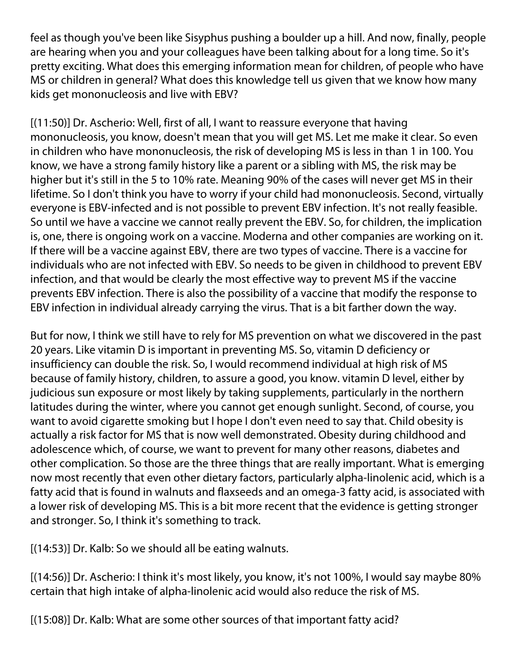feel as though you've been like Sisyphus pushing a boulder up a hill. And now, finally, people are hearing when you and your colleagues have been talking about for a long time. So it's pretty exciting. What does this emerging information mean for children, of people who have MS or children in general? What does this knowledge tell us given that we know how many kids get mononucleosis and live with EBV?

[(11:50)] Dr. Ascherio: Well, first of all, I want to reassure everyone that having mononucleosis, you know, doesn't mean that you will get MS. Let me make it clear. So even in children who have mononucleosis, the risk of developing MS is less in than 1 in 100. You know, we have a strong family history like a parent or a sibling with MS, the risk may be higher but it's still in the 5 to 10% rate. Meaning 90% of the cases will never get MS in their lifetime. So I don't think you have to worry if your child had mononucleosis. Second, virtually everyone is EBV-infected and is not possible to prevent EBV infection. It's not really feasible. So until we have a vaccine we cannot really prevent the EBV. So, for children, the implication is, one, there is ongoing work on a vaccine. Moderna and other companies are working on it. If there will be a vaccine against EBV, there are two types of vaccine. There is a vaccine for individuals who are not infected with EBV. So needs to be given in childhood to prevent EBV infection, and that would be clearly the most effective way to prevent MS if the vaccine prevents EBV infection. There is also the possibility of a vaccine that modify the response to EBV infection in individual already carrying the virus. That is a bit farther down the way.

But for now, I think we still have to rely for MS prevention on what we discovered in the past 20 years. Like vitamin D is important in preventing MS. So, vitamin D deficiency or insufficiency can double the risk. So, I would recommend individual at high risk of MS because of family history, children, to assure a good, you know. vitamin D level, either by judicious sun exposure or most likely by taking supplements, particularly in the northern latitudes during the winter, where you cannot get enough sunlight. Second, of course, you want to avoid cigarette smoking but I hope I don't even need to say that. Child obesity is actually a risk factor for MS that is now well demonstrated. Obesity during childhood and adolescence which, of course, we want to prevent for many other reasons, diabetes and other complication. So those are the three things that are really important. What is emerging now most recently that even other dietary factors, particularly alpha-linolenic acid, which is a fatty acid that is found in walnuts and flaxseeds and an omega-3 fatty acid, is associated with a lower risk of developing MS. This is a bit more recent that the evidence is getting stronger and stronger. So, I think it's something to track.

[(14:53)] Dr. Kalb: So we should all be eating walnuts.

[(14:56)] Dr. Ascherio: I think it's most likely, you know, it's not 100%, I would say maybe 80% certain that high intake of alpha-linolenic acid would also reduce the risk of MS.

[(15:08)] Dr. Kalb: What are some other sources of that important fatty acid?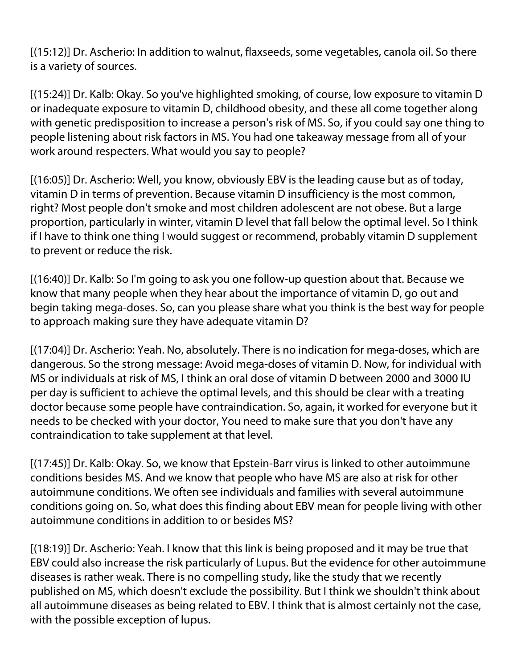[(15:12)] Dr. Ascherio: In addition to walnut, flaxseeds, some vegetables, canola oil. So there is a variety of sources.

[(15:24)] Dr. Kalb: Okay. So you've highlighted smoking, of course, low exposure to vitamin D or inadequate exposure to vitamin D, childhood obesity, and these all come together along with genetic predisposition to increase a person's risk of MS. So, if you could say one thing to people listening about risk factors in MS. You had one takeaway message from all of your work around respecters. What would you say to people?

[(16:05)] Dr. Ascherio: Well, you know, obviously EBV is the leading cause but as of today, vitamin D in terms of prevention. Because vitamin D insufficiency is the most common, right? Most people don't smoke and most children adolescent are not obese. But a large proportion, particularly in winter, vitamin D level that fall below the optimal level. So I think if I have to think one thing I would suggest or recommend, probably vitamin D supplement to prevent or reduce the risk.

[(16:40)] Dr. Kalb: So I'm going to ask you one follow-up question about that. Because we know that many people when they hear about the importance of vitamin D, go out and begin taking mega-doses. So, can you please share what you think is the best way for people to approach making sure they have adequate vitamin D?

[(17:04)] Dr. Ascherio: Yeah. No, absolutely. There is no indication for mega-doses, which are dangerous. So the strong message: Avoid mega-doses of vitamin D. Now, for individual with MS or individuals at risk of MS, I think an oral dose of vitamin D between 2000 and 3000 IU per day is sufficient to achieve the optimal levels, and this should be clear with a treating doctor because some people have contraindication. So, again, it worked for everyone but it needs to be checked with your doctor, You need to make sure that you don't have any contraindication to take supplement at that level.

[(17:45)] Dr. Kalb: Okay. So, we know that Epstein-Barr virus is linked to other autoimmune conditions besides MS. And we know that people who have MS are also at risk for other autoimmune conditions. We often see individuals and families with several autoimmune conditions going on. So, what does this finding about EBV mean for people living with other autoimmune conditions in addition to or besides MS?

[(18:19)] Dr. Ascherio: Yeah. I know that this link is being proposed and it may be true that EBV could also increase the risk particularly of Lupus. But the evidence for other autoimmune diseases is rather weak. There is no compelling study, like the study that we recently published on MS, which doesn't exclude the possibility. But I think we shouldn't think about all autoimmune diseases as being related to EBV. I think that is almost certainly not the case, with the possible exception of lupus.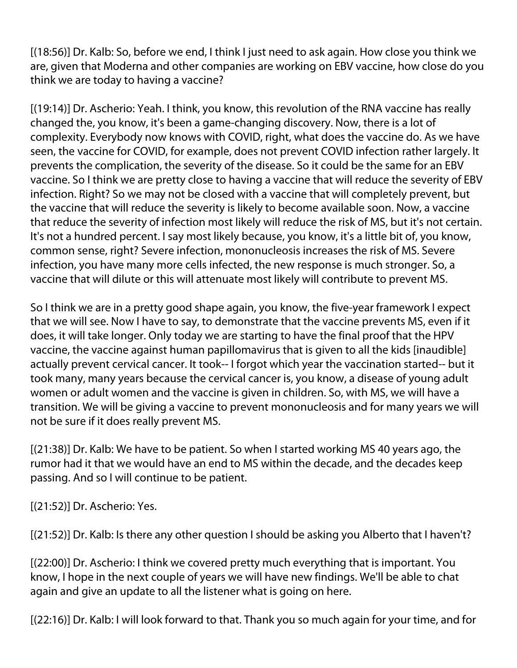[(18:56)] Dr. Kalb: So, before we end, I think I just need to ask again. How close you think we are, given that Moderna and other companies are working on EBV vaccine, how close do you think we are today to having a vaccine?

[(19:14)] Dr. Ascherio: Yeah. I think, you know, this revolution of the RNA vaccine has really changed the, you know, it's been a game-changing discovery. Now, there is a lot of complexity. Everybody now knows with COVID, right, what does the vaccine do. As we have seen, the vaccine for COVID, for example, does not prevent COVID infection rather largely. It prevents the complication, the severity of the disease. So it could be the same for an EBV vaccine. So I think we are pretty close to having a vaccine that will reduce the severity of EBV infection. Right? So we may not be closed with a vaccine that will completely prevent, but the vaccine that will reduce the severity is likely to become available soon. Now, a vaccine that reduce the severity of infection most likely will reduce the risk of MS, but it's not certain. It's not a hundred percent. I say most likely because, you know, it's a little bit of, you know, common sense, right? Severe infection, mononucleosis increases the risk of MS. Severe infection, you have many more cells infected, the new response is much stronger. So, a vaccine that will dilute or this will attenuate most likely will contribute to prevent MS.

So I think we are in a pretty good shape again, you know, the five-year framework I expect that we will see. Now I have to say, to demonstrate that the vaccine prevents MS, even if it does, it will take longer. Only today we are starting to have the final proof that the HPV vaccine, the vaccine against human papillomavirus that is given to all the kids [inaudible] actually prevent cervical cancer. It took-- I forgot which year the vaccination started-- but it took many, many years because the cervical cancer is, you know, a disease of young adult women or adult women and the vaccine is given in children. So, with MS, we will have a transition. We will be giving a vaccine to prevent mononucleosis and for many years we will not be sure if it does really prevent MS.

[(21:38)] Dr. Kalb: We have to be patient. So when I started working MS 40 years ago, the rumor had it that we would have an end to MS within the decade, and the decades keep passing. And so I will continue to be patient.

[(21:52)] Dr. Ascherio: Yes.

[(21:52)] Dr. Kalb: Is there any other question I should be asking you Alberto that I haven't?

[(22:00)] Dr. Ascherio: I think we covered pretty much everything that is important. You know, I hope in the next couple of years we will have new findings. We'll be able to chat again and give an update to all the listener what is going on here.

[(22:16)] Dr. Kalb: I will look forward to that. Thank you so much again for your time, and for